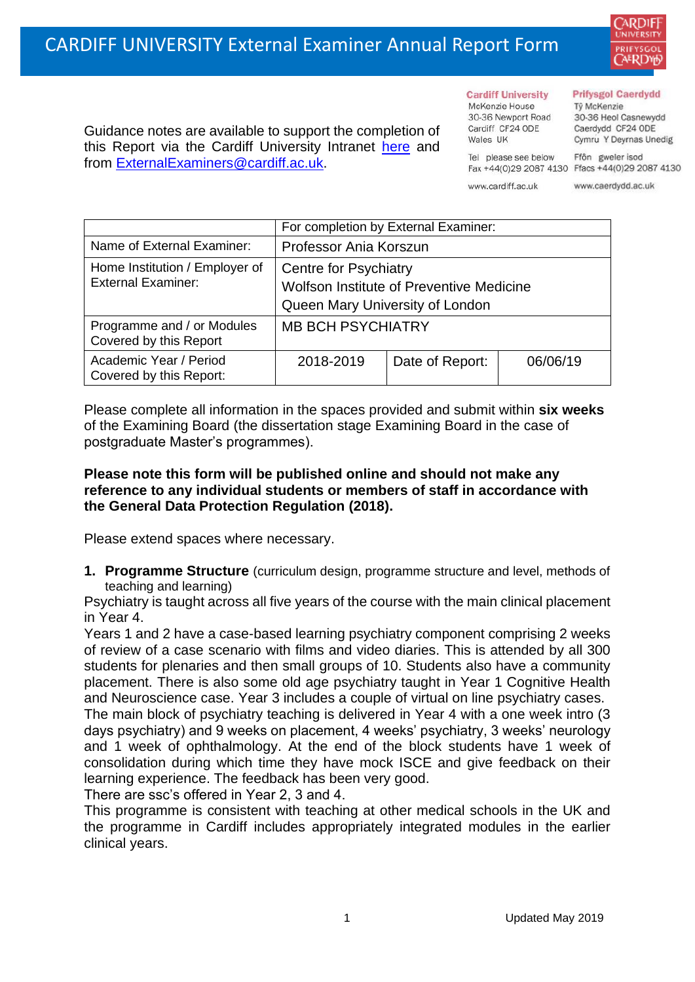

Guidance notes are available to support the completion of this Report via the Cardiff University Intranet [here](https://intranet.cardiff.ac.uk/staff/teaching-and-supporting-students/exams-and-assessment/exam-boards-and-external-examiners/for-current-external-examiners/external-examiners-reports) and from [ExternalExaminers@cardiff.ac.uk.](mailto:ExternalExaminers@cardiff.ac.uk)

**Cardiff University** McKenzie House 30-36 Newport Road Cardiff CF24 ODE

Wales UK

### **Prifysgol Caerdydd**

Từ McKenzie 30-36 Heol Casnewydd Caerdydd CF24 ODE Cymru Y Deyrnas Unedig

Ffôn gweler isod Fax +44(0)29 2087 4130 Ffacs +44(0)29 2087 4130

www.cardiff.ac.uk

Tel please see below

www.caerdydd.ac.uk

|                                                             | For completion by External Examiner:                                     |                 |          |  |
|-------------------------------------------------------------|--------------------------------------------------------------------------|-----------------|----------|--|
| Name of External Examiner:                                  | Professor Ania Korszun                                                   |                 |          |  |
| Home Institution / Employer of<br><b>External Examiner:</b> | <b>Centre for Psychiatry</b><br>Wolfson Institute of Preventive Medicine |                 |          |  |
|                                                             | Queen Mary University of London                                          |                 |          |  |
| Programme and / or Modules<br>Covered by this Report        | <b>MB BCH PSYCHIATRY</b>                                                 |                 |          |  |
| Academic Year / Period<br>Covered by this Report:           | 2018-2019                                                                | Date of Report: | 06/06/19 |  |

Please complete all information in the spaces provided and submit within **six weeks** of the Examining Board (the dissertation stage Examining Board in the case of postgraduate Master's programmes).

## **Please note this form will be published online and should not make any reference to any individual students or members of staff in accordance with the General Data Protection Regulation (2018).**

Please extend spaces where necessary.

**1. Programme Structure** (curriculum design, programme structure and level, methods of teaching and learning)

Psychiatry is taught across all five years of the course with the main clinical placement in Year 4.

Years 1 and 2 have a case-based learning psychiatry component comprising 2 weeks of review of a case scenario with films and video diaries. This is attended by all 300 students for plenaries and then small groups of 10. Students also have a community placement. There is also some old age psychiatry taught in Year 1 Cognitive Health and Neuroscience case. Year 3 includes a couple of virtual on line psychiatry cases.

The main block of psychiatry teaching is delivered in Year 4 with a one week intro (3 days psychiatry) and 9 weeks on placement, 4 weeks' psychiatry, 3 weeks' neurology and 1 week of ophthalmology. At the end of the block students have 1 week of consolidation during which time they have mock ISCE and give feedback on their learning experience. The feedback has been very good.

There are ssc's offered in Year 2, 3 and 4.

This programme is consistent with teaching at other medical schools in the UK and the programme in Cardiff includes appropriately integrated modules in the earlier clinical years.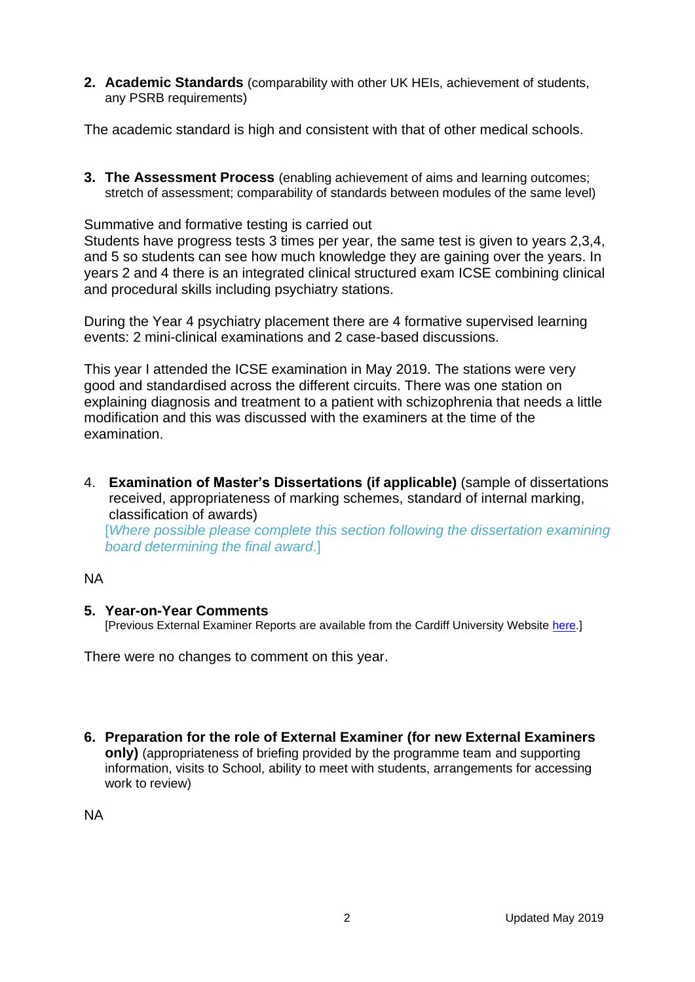**2. Academic Standards** (comparability with other UK HEIs, achievement of students, any PSRB requirements)

The academic standard is high and consistent with that of other medical schools.

**3. The Assessment Process** (enabling achievement of aims and learning outcomes; stretch of assessment; comparability of standards between modules of the same level)

Summative and formative testing is carried out

Students have progress tests 3 times per year, the same test is given to years 2,3,4, and 5 so students can see how much knowledge they are gaining over the years. In years 2 and 4 there is an integrated clinical structured exam ICSE combining clinical and procedural skills including psychiatry stations.

During the Year 4 psychiatry placement there are 4 formative supervised learning events: 2 mini-clinical examinations and 2 case-based discussions.

This year I attended the ICSE examination in May 2019. The stations were very good and standardised across the different circuits. There was one station on explaining diagnosis and treatment to a patient with schizophrenia that needs a little modification and this was discussed with the examiners at the time of the examination.

4. **Examination of Master's Dissertations (if applicable)** (sample of dissertations received, appropriateness of marking schemes, standard of internal marking, classification of awards)

[*Where possible please complete this section following the dissertation examining board determining the final award*.]

## NA

## **5. Year-on-Year Comments**

[Previous External Examiner Reports are available from the Cardiff University Website [here.](https://www.cardiff.ac.uk/public-information/quality-and-standards/external-examiner-reports)]

There were no changes to comment on this year.

**6. Preparation for the role of External Examiner (for new External Examiners only)** (appropriateness of briefing provided by the programme team and supporting information, visits to School, ability to meet with students, arrangements for accessing work to review)

NA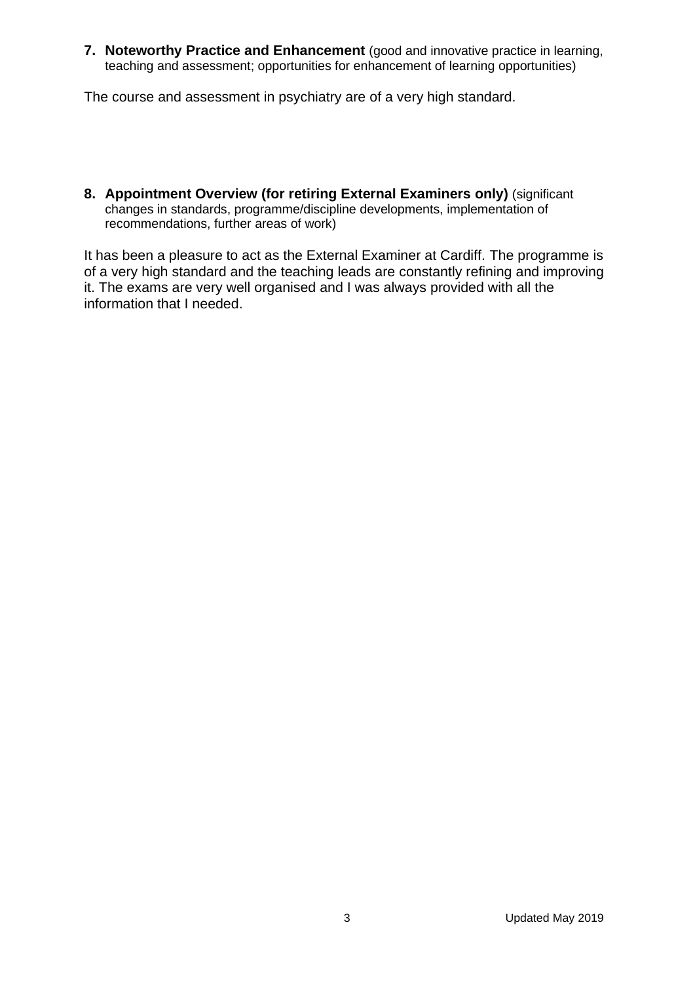**7. Noteworthy Practice and Enhancement** (good and innovative practice in learning, teaching and assessment; opportunities for enhancement of learning opportunities)

The course and assessment in psychiatry are of a very high standard.

**8. Appointment Overview (for retiring External Examiners only)** (significant changes in standards, programme/discipline developments, implementation of recommendations, further areas of work)

It has been a pleasure to act as the External Examiner at Cardiff. The programme is of a very high standard and the teaching leads are constantly refining and improving it. The exams are very well organised and I was always provided with all the information that I needed.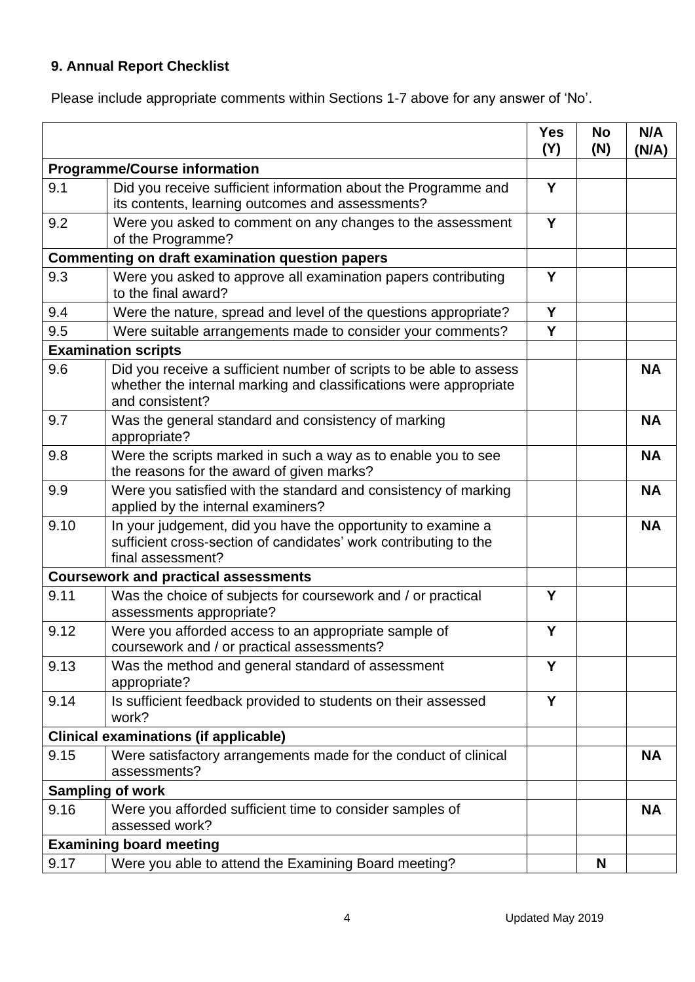# **9. Annual Report Checklist**

Please include appropriate comments within Sections 1-7 above for any answer of 'No'.

|                                                        |                                                                                                                                                             | <b>Yes</b><br>(Y) | <b>No</b><br>(N) | N/A<br>(N/A) |
|--------------------------------------------------------|-------------------------------------------------------------------------------------------------------------------------------------------------------------|-------------------|------------------|--------------|
| <b>Programme/Course information</b>                    |                                                                                                                                                             |                   |                  |              |
| 9.1                                                    | Did you receive sufficient information about the Programme and<br>its contents, learning outcomes and assessments?                                          | Y                 |                  |              |
| 9.2                                                    | Were you asked to comment on any changes to the assessment<br>of the Programme?                                                                             | Y                 |                  |              |
| <b>Commenting on draft examination question papers</b> |                                                                                                                                                             |                   |                  |              |
| 9.3                                                    | Were you asked to approve all examination papers contributing<br>to the final award?                                                                        | Y                 |                  |              |
| 9.4                                                    | Were the nature, spread and level of the questions appropriate?                                                                                             | Y                 |                  |              |
| 9.5                                                    | Were suitable arrangements made to consider your comments?                                                                                                  | Y                 |                  |              |
|                                                        | <b>Examination scripts</b>                                                                                                                                  |                   |                  |              |
| 9.6                                                    | Did you receive a sufficient number of scripts to be able to assess<br>whether the internal marking and classifications were appropriate<br>and consistent? |                   |                  | <b>NA</b>    |
| 9.7                                                    | Was the general standard and consistency of marking<br>appropriate?                                                                                         |                   |                  | <b>NA</b>    |
| 9.8                                                    | Were the scripts marked in such a way as to enable you to see<br>the reasons for the award of given marks?                                                  |                   |                  | <b>NA</b>    |
| 9.9                                                    | Were you satisfied with the standard and consistency of marking<br>applied by the internal examiners?                                                       |                   |                  | <b>NA</b>    |
| 9.10                                                   | In your judgement, did you have the opportunity to examine a<br>sufficient cross-section of candidates' work contributing to the<br>final assessment?       |                   |                  | <b>NA</b>    |
|                                                        | <b>Coursework and practical assessments</b>                                                                                                                 |                   |                  |              |
| 9.11                                                   | Was the choice of subjects for coursework and / or practical<br>assessments appropriate?                                                                    | Υ                 |                  |              |
| 9.12                                                   | Were you afforded access to an appropriate sample of<br>coursework and / or practical assessments?                                                          | Y                 |                  |              |
| 9.13                                                   | Was the method and general standard of assessment<br>appropriate?                                                                                           | Υ                 |                  |              |
| 9.14                                                   | Is sufficient feedback provided to students on their assessed<br>work?                                                                                      | Y                 |                  |              |
| <b>Clinical examinations (if applicable)</b>           |                                                                                                                                                             |                   |                  |              |
| 9.15                                                   | Were satisfactory arrangements made for the conduct of clinical<br>assessments?                                                                             |                   |                  | <b>NA</b>    |
| <b>Sampling of work</b>                                |                                                                                                                                                             |                   |                  |              |
| 9.16                                                   | Were you afforded sufficient time to consider samples of<br>assessed work?                                                                                  |                   |                  | <b>NA</b>    |
|                                                        | <b>Examining board meeting</b>                                                                                                                              |                   |                  |              |
| 9.17                                                   | Were you able to attend the Examining Board meeting?                                                                                                        |                   | N                |              |